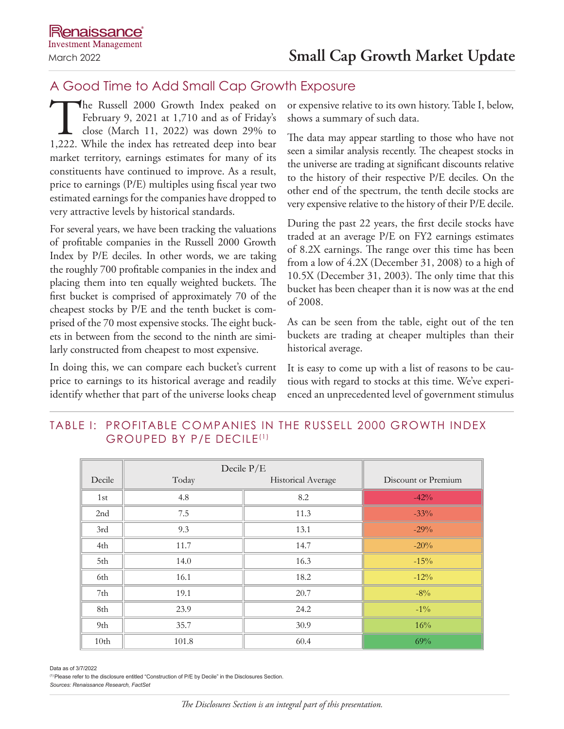# A Good Time to Add Small Cap Growth Exposure

The Russell 2000 Growth Index peaked on<br>February 9, 2021 at 1,710 and as of Friday's<br>close (March 11, 2022) was down 29% to<br>1,222. While the index has retreated deep into bear February 9, 2021 at 1,710 and as of Friday's close (March 11, 2022) was down 29% to 1,222. While the index has retreated deep into bear market territory, earnings estimates for many of its constituents have continued to improve. As a result, price to earnings (P/E) multiples using fiscal year two estimated earnings for the companies have dropped to very attractive levels by historical standards.

For several years, we have been tracking the valuations of profitable companies in the Russell 2000 Growth Index by P/E deciles. In other words, we are taking the roughly 700 profitable companies in the index and placing them into ten equally weighted buckets. The first bucket is comprised of approximately 70 of the cheapest stocks by P/E and the tenth bucket is comprised of the 70 most expensive stocks. The eight buckets in between from the second to the ninth are similarly constructed from cheapest to most expensive.

In doing this, we can compare each bucket's current price to earnings to its historical average and readily identify whether that part of the universe looks cheap

or expensive relative to its own history. Table I, below, shows a summary of such data.

The data may appear startling to those who have not seen a similar analysis recently. The cheapest stocks in the universe are trading at significant discounts relative to the history of their respective P/E deciles. On the other end of the spectrum, the tenth decile stocks are very expensive relative to the history of their P/E decile.

During the past 22 years, the first decile stocks have traded at an average P/E on FY2 earnings estimates of 8.2X earnings. The range over this time has been from a low of 4.2X (December 31, 2008) to a high of 10.5X (December 31, 2003). The only time that this bucket has been cheaper than it is now was at the end of 2008.

As can be seen from the table, eight out of the ten buckets are trading at cheaper multiples than their historical average.

It is easy to come up with a list of reasons to be cautious with regard to stocks at this time. We've experienced an unprecedented level of government stimulus

## TABLE I: PROFITABLE COMPANIES IN THE RUSSELL 2000 GROWTH INDEX GROUPED BY P/E DECILE(1)

|        | Decile $P/E$ |                    |                     |
|--------|--------------|--------------------|---------------------|
| Decile | Today        | Historical Average | Discount or Premium |
| 1st    | 4.8          | 8.2                | $-42%$              |
| 2nd    | 7.5          | 11.3               | $-33%$              |
| 3rd    | 9.3          | 13.1               | $-29%$              |
| 4th    | 11.7         | 14.7               | $-20%$              |
| 5th    | 14.0         | 16.3               | $-15%$              |
| 6th    | 16.1         | 18.2               | $-12%$              |
| 7th    | 19.1         | 20.7               | $-8\%$              |
| 8th    | 23.9         | 24.2               | $-1\%$              |
| 9th    | 35.7         | 30.9               | 16%                 |
| 10th   | 101.8        | 60.4               | 69%                 |

Data as of 3/7/2022

(1)Please refer to the disclosure entitled "Construction of P/E by Decile" in the Disclosures Section.

*Sources: Renaissance Research, FactSet*